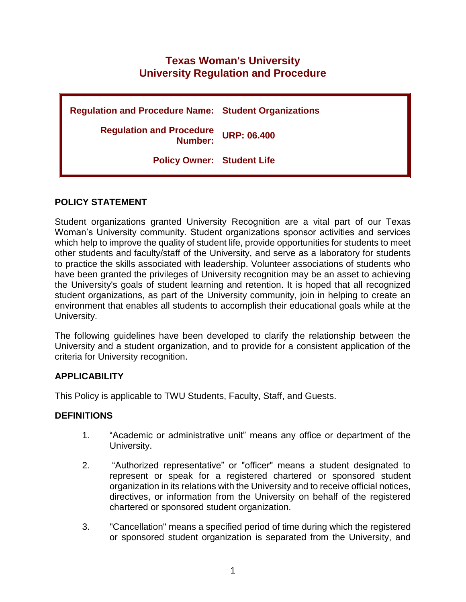# **Texas Woman's University University Regulation and Procedure**

| <b>Regulation and Procedure Name: Student Organizations</b> |  |
|-------------------------------------------------------------|--|
| <b>Regulation and Procedure URP: 06.400</b><br>Number:      |  |
| <b>Policy Owner: Student Life</b>                           |  |

#### **POLICY STATEMENT**

Student organizations granted University Recognition are a vital part of our Texas Woman's University community. Student organizations sponsor activities and services which help to improve the quality of student life, provide opportunities for students to meet other students and faculty/staff of the University, and serve as a laboratory for students to practice the skills associated with leadership. Volunteer associations of students who have been granted the privileges of University recognition may be an asset to achieving the University's goals of student learning and retention. It is hoped that all recognized student organizations, as part of the University community, join in helping to create an environment that enables all students to accomplish their educational goals while at the University.

The following guidelines have been developed to clarify the relationship between the University and a student organization, and to provide for a consistent application of the criteria for University recognition.

#### **APPLICABILITY**

This Policy is applicable to TWU Students, Faculty, Staff, and Guests.

#### **DEFINITIONS**

- 1. "Academic or administrative unit" means any office or department of the University.
- 2. "Authorized representative" or "officer" means a student designated to represent or speak for a registered chartered or sponsored student organization in its relations with the University and to receive official notices, directives, or information from the University on behalf of the registered chartered or sponsored student organization.
- 3. "Cancellation" means a specified period of time during which the registered or sponsored student organization is separated from the University, and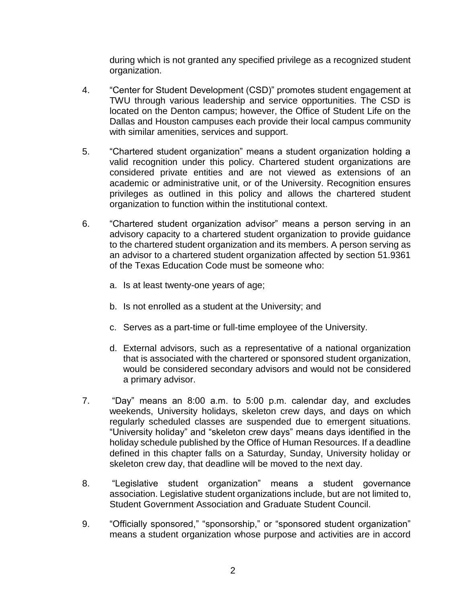during which is not granted any specified privilege as a recognized student organization.

- 4. "Center for Student Development (CSD)" promotes student engagement at TWU through various leadership and service opportunities. The CSD is located on the Denton campus; however, the Office of Student Life on the Dallas and Houston campuses each provide their local campus community with similar amenities, services and support.
- 5. "Chartered student organization" means a student organization holding a valid recognition under this policy. Chartered student organizations are considered private entities and are not viewed as extensions of an academic or administrative unit, or of the University. Recognition ensures privileges as outlined in this policy and allows the chartered student organization to function within the institutional context.
- 6. "Chartered student organization advisor" means a person serving in an advisory capacity to a chartered student organization to provide guidance to the chartered student organization and its members. A person serving as an advisor to a chartered student organization affected by section 51.9361 of the Texas Education Code must be someone who:
	- a. Is at least twenty-one years of age;
	- b. Is not enrolled as a student at the University; and
	- c. Serves as a part-time or full-time employee of the University.
	- d. External advisors, such as a representative of a national organization that is associated with the chartered or sponsored student organization, would be considered secondary advisors and would not be considered a primary advisor.
- 7. "Day" means an 8:00 a.m. to 5:00 p.m. calendar day, and excludes weekends, University holidays, skeleton crew days, and days on which regularly scheduled classes are suspended due to emergent situations. "University holiday" and "skeleton crew days" means days identified in the holiday schedule published by the Office of Human Resources. If a deadline defined in this chapter falls on a Saturday, Sunday, University holiday or skeleton crew day, that deadline will be moved to the next day.
- 8. "Legislative student organization" means a student governance association. Legislative student organizations include, but are not limited to, Student Government Association and Graduate Student Council.
- 9. "Officially sponsored," "sponsorship," or "sponsored student organization" means a student organization whose purpose and activities are in accord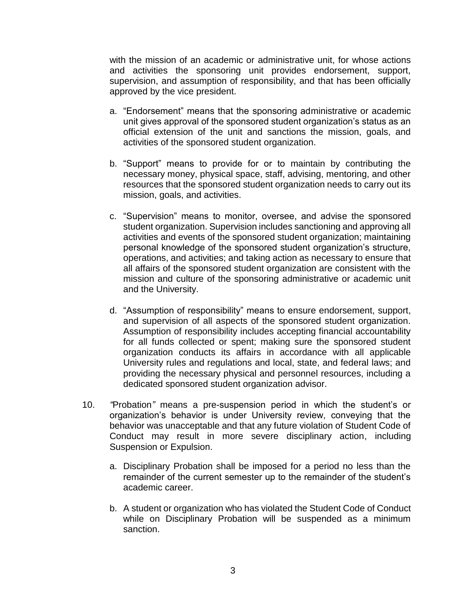with the mission of an academic or administrative unit, for whose actions and activities the sponsoring unit provides endorsement, support, supervision, and assumption of responsibility, and that has been officially approved by the vice president.

- a. "Endorsement" means that the sponsoring administrative or academic unit gives approval of the sponsored student organization's status as an official extension of the unit and sanctions the mission, goals, and activities of the sponsored student organization.
- b. "Support" means to provide for or to maintain by contributing the necessary money, physical space, staff, advising, mentoring, and other resources that the sponsored student organization needs to carry out its mission, goals, and activities.
- c. "Supervision" means to monitor, oversee, and advise the sponsored student organization. Supervision includes sanctioning and approving all activities and events of the sponsored student organization; maintaining personal knowledge of the sponsored student organization's structure, operations, and activities; and taking action as necessary to ensure that all affairs of the sponsored student organization are consistent with the mission and culture of the sponsoring administrative or academic unit and the University.
- d. "Assumption of responsibility" means to ensure endorsement, support, and supervision of all aspects of the sponsored student organization. Assumption of responsibility includes accepting financial accountability for all funds collected or spent; making sure the sponsored student organization conducts its affairs in accordance with all applicable University rules and regulations and local, state, and federal laws; and providing the necessary physical and personnel resources, including a dedicated sponsored student organization advisor.
- 10. *"*Probation*"* means a pre-suspension period in which the student's or organization's behavior is under University review, conveying that the behavior was unacceptable and that any future violation of Student Code of Conduct may result in more severe disciplinary action, including Suspension or Expulsion.
	- a. Disciplinary Probation shall be imposed for a period no less than the remainder of the current semester up to the remainder of the student's academic career.
	- b. A student or organization who has violated the Student Code of Conduct while on Disciplinary Probation will be suspended as a minimum sanction.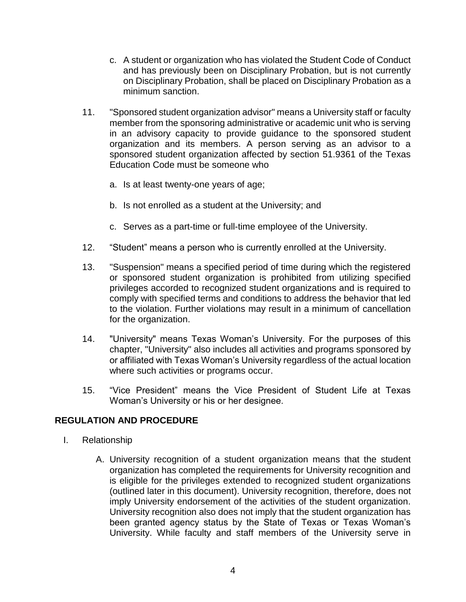- c. A student or organization who has violated the Student Code of Conduct and has previously been on Disciplinary Probation, but is not currently on Disciplinary Probation, shall be placed on Disciplinary Probation as a minimum sanction.
- 11. "Sponsored student organization advisor" means a University staff or faculty member from the sponsoring administrative or academic unit who is serving in an advisory capacity to provide guidance to the sponsored student organization and its members. A person serving as an advisor to a sponsored student organization affected by section 51.9361 of the Texas Education Code must be someone who
	- a. Is at least twenty-one years of age;
	- b. Is not enrolled as a student at the University; and
	- c. Serves as a part-time or full-time employee of the University.
- 12. "Student" means a person who is currently enrolled at the University.
- 13. "Suspension" means a specified period of time during which the registered or sponsored student organization is prohibited from utilizing specified privileges accorded to recognized student organizations and is required to comply with specified terms and conditions to address the behavior that led to the violation. Further violations may result in a minimum of cancellation for the organization.
- 14. "University" means Texas Woman's University. For the purposes of this chapter, "University" also includes all activities and programs sponsored by or affiliated with Texas Woman's University regardless of the actual location where such activities or programs occur.
- 15. "Vice President" means the Vice President of Student Life at Texas Woman's University or his or her designee.

# **REGULATION AND PROCEDURE**

- I. Relationship
	- A. University recognition of a student organization means that the student organization has completed the requirements for University recognition and is eligible for the privileges extended to recognized student organizations (outlined later in this document). University recognition, therefore, does not imply University endorsement of the activities of the student organization. University recognition also does not imply that the student organization has been granted agency status by the State of Texas or Texas Woman's University. While faculty and staff members of the University serve in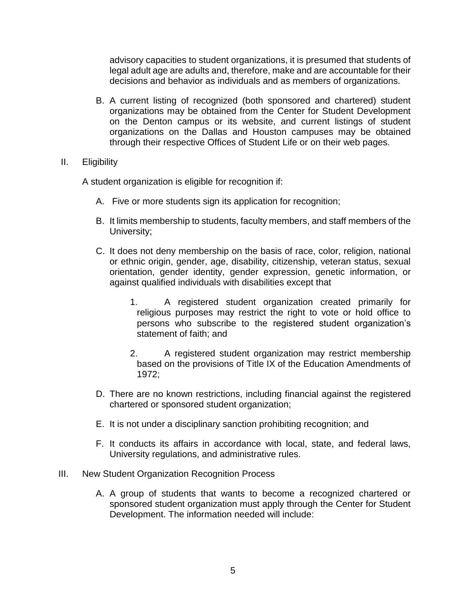advisory capacities to student organizations, it is presumed that students of legal adult age are adults and, therefore, make and are accountable for their decisions and behavior as individuals and as members of organizations.

- B. A current listing of recognized (both sponsored and chartered) student organizations may be obtained from the Center for Student Development on the Denton campus or its website, and current listings of student organizations on the Dallas and Houston campuses may be obtained through their respective Offices of Student Life or on their web pages.
- II. Eligibility

A student organization is eligible for recognition if:

- A. Five or more students sign its application for recognition;
- B. It limits membership to students, faculty members, and staff members of the University;
- C. It does not deny membership on the basis of race, color, religion, national or ethnic origin, gender, age, disability, citizenship, veteran status, sexual orientation, gender identity, gender expression, genetic information, or against qualified individuals with disabilities except that
	- 1. A registered student organization created primarily for religious purposes may restrict the right to vote or hold office to persons who subscribe to the registered student organization's statement of faith; and
	- 2. A registered student organization may restrict membership based on the provisions of Title IX of the Education Amendments of 1972;
- D. There are no known restrictions, including financial against the registered chartered or sponsored student organization;
- E. It is not under a disciplinary sanction prohibiting recognition; and
- F. It conducts its affairs in accordance with local, state, and federal laws, University regulations, and administrative rules.
- III. New Student Organization Recognition Process
	- A. A group of students that wants to become a recognized chartered or sponsored student organization must apply through the Center for Student Development. The information needed will include: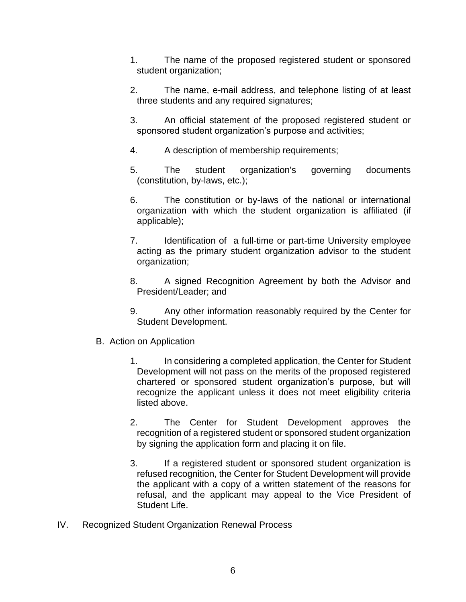- 1. The name of the proposed registered student or sponsored student organization;
- 2. The name, e-mail address, and telephone listing of at least three students and any required signatures;
- 3. An official statement of the proposed registered student or sponsored student organization's purpose and activities;
- 4. A description of membership requirements;
- 5. The student organization's governing documents (constitution, by-laws, etc.);
- 6. The constitution or by-laws of the national or international organization with which the student organization is affiliated (if applicable);
- 7. Identification of a full-time or part-time University employee acting as the primary student organization advisor to the student organization;
- 8. A signed Recognition Agreement by both the Advisor and President/Leader; and
- 9. Any other information reasonably required by the Center for Student Development.
- B. Action on Application
	- 1. In considering a completed application, the Center for Student Development will not pass on the merits of the proposed registered chartered or sponsored student organization's purpose, but will recognize the applicant unless it does not meet eligibility criteria listed above.
	- 2. The Center for Student Development approves the recognition of a registered student or sponsored student organization by signing the application form and placing it on file.
	- 3. If a registered student or sponsored student organization is refused recognition, the Center for Student Development will provide the applicant with a copy of a written statement of the reasons for refusal, and the applicant may appeal to the Vice President of Student Life.
- IV. Recognized Student Organization Renewal Process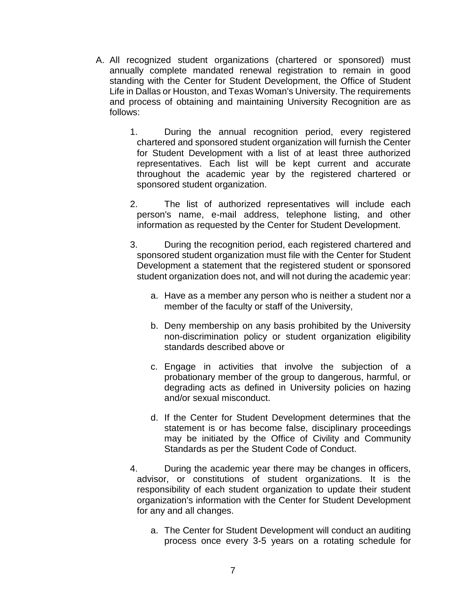- A. All recognized student organizations (chartered or sponsored) must annually complete mandated renewal registration to remain in good standing with the Center for Student Development, the Office of Student Life in Dallas or Houston, and Texas Woman's University. The requirements and process of obtaining and maintaining University Recognition are as follows:
	- 1. During the annual recognition period, every registered chartered and sponsored student organization will furnish the Center for Student Development with a list of at least three authorized representatives. Each list will be kept current and accurate throughout the academic year by the registered chartered or sponsored student organization.
	- 2. The list of authorized representatives will include each person's name, e-mail address, telephone listing, and other information as requested by the Center for Student Development.
	- 3. During the recognition period, each registered chartered and sponsored student organization must file with the Center for Student Development a statement that the registered student or sponsored student organization does not, and will not during the academic year:
		- a. Have as a member any person who is neither a student nor a member of the faculty or staff of the University,
		- b. Deny membership on any basis prohibited by the University non-discrimination policy or student organization eligibility standards described above or
		- c. Engage in activities that involve the subjection of a probationary member of the group to dangerous, harmful, or degrading acts as defined in University policies on hazing and/or sexual misconduct.
		- d. If the Center for Student Development determines that the statement is or has become false, disciplinary proceedings may be initiated by the Office of Civility and Community Standards as per the Student Code of Conduct.
	- 4. During the academic year there may be changes in officers, advisor, or constitutions of student organizations. It is the responsibility of each student organization to update their student organization's information with the Center for Student Development for any and all changes.
		- a. The Center for Student Development will conduct an auditing process once every 3-5 years on a rotating schedule for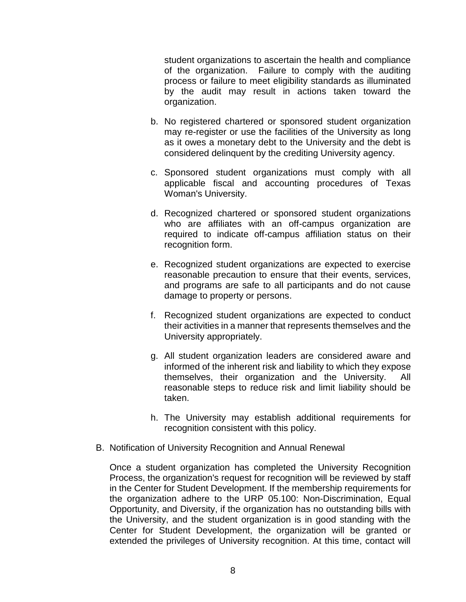student organizations to ascertain the health and compliance of the organization. Failure to comply with the auditing process or failure to meet eligibility standards as illuminated by the audit may result in actions taken toward the organization.

- b. No registered chartered or sponsored student organization may re-register or use the facilities of the University as long as it owes a monetary debt to the University and the debt is considered delinquent by the crediting University agency.
- c. Sponsored student organizations must comply with all applicable fiscal and accounting procedures of Texas Woman's University.
- d. Recognized chartered or sponsored student organizations who are affiliates with an off-campus organization are required to indicate off-campus affiliation status on their recognition form.
- e. Recognized student organizations are expected to exercise reasonable precaution to ensure that their events, services, and programs are safe to all participants and do not cause damage to property or persons.
- f. Recognized student organizations are expected to conduct their activities in a manner that represents themselves and the University appropriately.
- g. All student organization leaders are considered aware and informed of the inherent risk and liability to which they expose themselves, their organization and the University. All reasonable steps to reduce risk and limit liability should be taken.
- h. The University may establish additional requirements for recognition consistent with this policy.
- B. Notification of University Recognition and Annual Renewal

Once a student organization has completed the University Recognition Process, the organization's request for recognition will be reviewed by staff in the Center for Student Development. If the membership requirements for the organization adhere to the URP 05.100: Non-Discrimination, Equal Opportunity, and Diversity, if the organization has no outstanding bills with the University, and the student organization is in good standing with the Center for Student Development, the organization will be granted or extended the privileges of University recognition. At this time, contact will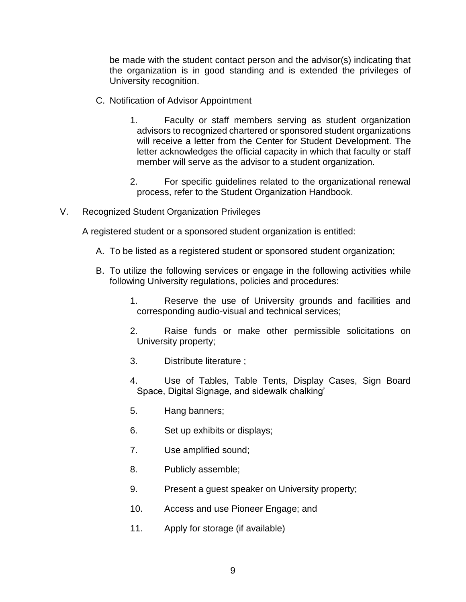be made with the student contact person and the advisor(s) indicating that the organization is in good standing and is extended the privileges of University recognition.

- C. Notification of Advisor Appointment
	- 1. Faculty or staff members serving as student organization advisors to recognized chartered or sponsored student organizations will receive a letter from the Center for Student Development. The letter acknowledges the official capacity in which that faculty or staff member will serve as the advisor to a student organization.
	- 2. For specific guidelines related to the organizational renewal process, refer to the Student Organization Handbook.
- V. Recognized Student Organization Privileges

A registered student or a sponsored student organization is entitled:

- A. To be listed as a registered student or sponsored student organization;
- B. To utilize the following services or engage in the following activities while following University regulations, policies and procedures:
	- 1. Reserve the use of University grounds and facilities and corresponding audio-visual and technical services;
	- 2. Raise funds or make other permissible solicitations on University property;
	- 3. Distribute literature ;
	- 4. Use of Tables, Table Tents, Display Cases, Sign Board Space, Digital Signage, and sidewalk chalking'
	- 5. Hang banners;
	- 6. Set up exhibits or displays;
	- 7. Use amplified sound;
	- 8. Publicly assemble;
	- 9. Present a guest speaker on University property;
	- 10. Access and use Pioneer Engage; and
	- 11. Apply for storage (if available)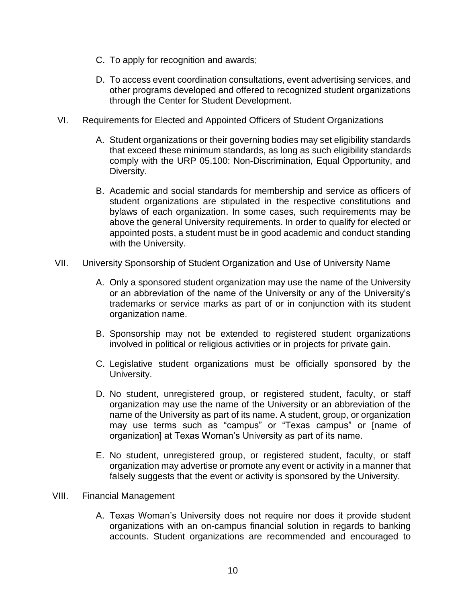- C. To apply for recognition and awards;
- D. To access event coordination consultations, event advertising services, and other programs developed and offered to recognized student organizations through the Center for Student Development.
- VI. Requirements for Elected and Appointed Officers of Student Organizations
	- A. Student organizations or their governing bodies may set eligibility standards that exceed these minimum standards, as long as such eligibility standards comply with the URP 05.100: Non-Discrimination, Equal Opportunity, and Diversity.
	- B. Academic and social standards for membership and service as officers of student organizations are stipulated in the respective constitutions and bylaws of each organization. In some cases, such requirements may be above the general University requirements. In order to qualify for elected or appointed posts, a student must be in good academic and conduct standing with the University.
- VII. University Sponsorship of Student Organization and Use of University Name
	- A. Only a sponsored student organization may use the name of the University or an abbreviation of the name of the University or any of the University's trademarks or service marks as part of or in conjunction with its student organization name.
	- B. Sponsorship may not be extended to registered student organizations involved in political or religious activities or in projects for private gain.
	- C. Legislative student organizations must be officially sponsored by the University.
	- D. No student, unregistered group, or registered student, faculty, or staff organization may use the name of the University or an abbreviation of the name of the University as part of its name. A student, group, or organization may use terms such as "campus" or "Texas campus" or [name of organization] at Texas Woman's University as part of its name.
	- E. No student, unregistered group, or registered student, faculty, or staff organization may advertise or promote any event or activity in a manner that falsely suggests that the event or activity is sponsored by the University.
- VIII. Financial Management
	- A. Texas Woman's University does not require nor does it provide student organizations with an on-campus financial solution in regards to banking accounts. Student organizations are recommended and encouraged to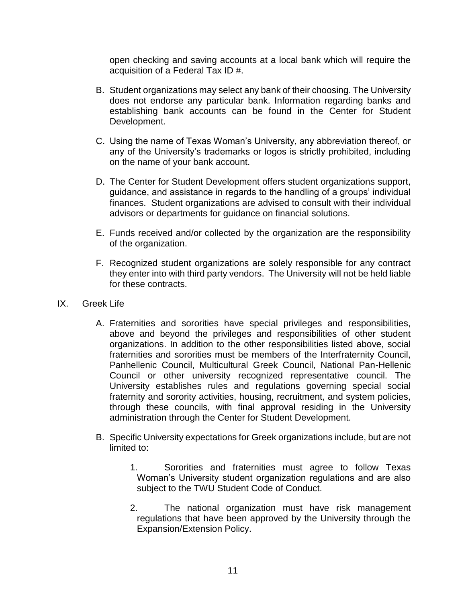open checking and saving accounts at a local bank which will require the acquisition of a Federal Tax ID #.

- B. Student organizations may select any bank of their choosing. The University does not endorse any particular bank. Information regarding banks and establishing bank accounts can be found in the Center for Student Development.
- C. Using the name of Texas Woman's University, any abbreviation thereof, or any of the University's trademarks or logos is strictly prohibited, including on the name of your bank account.
- D. The Center for Student Development offers student organizations support, guidance, and assistance in regards to the handling of a groups' individual finances. Student organizations are advised to consult with their individual advisors or departments for guidance on financial solutions.
- E. Funds received and/or collected by the organization are the responsibility of the organization.
- F. Recognized student organizations are solely responsible for any contract they enter into with third party vendors. The University will not be held liable for these contracts.
- IX. Greek Life
	- A. Fraternities and sororities have special privileges and responsibilities, above and beyond the privileges and responsibilities of other student organizations. In addition to the other responsibilities listed above, social fraternities and sororities must be members of the Interfraternity Council, Panhellenic Council, Multicultural Greek Council, National Pan-Hellenic Council or other university recognized representative council. The University establishes rules and regulations governing special social fraternity and sorority activities, housing, recruitment, and system policies, through these councils, with final approval residing in the University administration through the Center for Student Development.
	- B. Specific University expectations for Greek organizations include, but are not limited to:
		- 1. Sororities and fraternities must agree to follow Texas Woman's University student organization regulations and are also subject to the TWU Student Code of Conduct.
		- 2. The national organization must have risk management regulations that have been approved by the University through the Expansion/Extension Policy.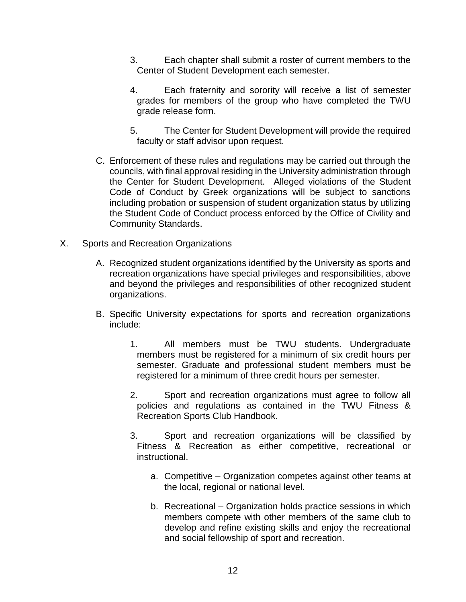- 3. Each chapter shall submit a roster of current members to the Center of Student Development each semester.
- 4. Each fraternity and sorority will receive a list of semester grades for members of the group who have completed the TWU grade release form.
- 5. The Center for Student Development will provide the required faculty or staff advisor upon request.
- C. Enforcement of these rules and regulations may be carried out through the councils, with final approval residing in the University administration through the Center for Student Development. Alleged violations of the Student Code of Conduct by Greek organizations will be subject to sanctions including probation or suspension of student organization status by utilizing the Student Code of Conduct process enforced by the Office of Civility and Community Standards.
- X. Sports and Recreation Organizations
	- A. Recognized student organizations identified by the University as sports and recreation organizations have special privileges and responsibilities, above and beyond the privileges and responsibilities of other recognized student organizations.
	- B. Specific University expectations for sports and recreation organizations include:
		- 1. All members must be TWU students. Undergraduate members must be registered for a minimum of six credit hours per semester. Graduate and professional student members must be registered for a minimum of three credit hours per semester.
		- 2. Sport and recreation organizations must agree to follow all policies and regulations as contained in the TWU Fitness & Recreation Sports Club Handbook.
		- 3. Sport and recreation organizations will be classified by Fitness & Recreation as either competitive, recreational or instructional.
			- a. Competitive Organization competes against other teams at the local, regional or national level.
			- b. Recreational Organization holds practice sessions in which members compete with other members of the same club to develop and refine existing skills and enjoy the recreational and social fellowship of sport and recreation.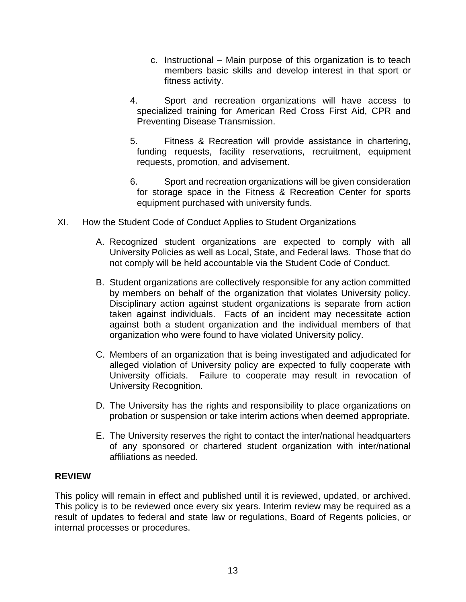- c. Instructional Main purpose of this organization is to teach members basic skills and develop interest in that sport or fitness activity.
- 4. Sport and recreation organizations will have access to specialized training for American Red Cross First Aid, CPR and Preventing Disease Transmission.
- 5. Fitness & Recreation will provide assistance in chartering, funding requests, facility reservations, recruitment, equipment requests, promotion, and advisement.
- 6. Sport and recreation organizations will be given consideration for storage space in the Fitness & Recreation Center for sports equipment purchased with university funds.
- XI. How the Student Code of Conduct Applies to Student Organizations
	- A. Recognized student organizations are expected to comply with all University Policies as well as Local, State, and Federal laws. Those that do not comply will be held accountable via the Student Code of Conduct.
	- B. Student organizations are collectively responsible for any action committed by members on behalf of the organization that violates University policy. Disciplinary action against student organizations is separate from action taken against individuals. Facts of an incident may necessitate action against both a student organization and the individual members of that organization who were found to have violated University policy.
	- C. Members of an organization that is being investigated and adjudicated for alleged violation of University policy are expected to fully cooperate with University officials. Failure to cooperate may result in revocation of University Recognition.
	- D. The University has the rights and responsibility to place organizations on probation or suspension or take interim actions when deemed appropriate.
	- E. The University reserves the right to contact the inter/national headquarters of any sponsored or chartered student organization with inter/national affiliations as needed.

# **REVIEW**

This policy will remain in effect and published until it is reviewed, updated, or archived. This policy is to be reviewed once every six years. Interim review may be required as a result of updates to federal and state law or regulations, Board of Regents policies, or internal processes or procedures.